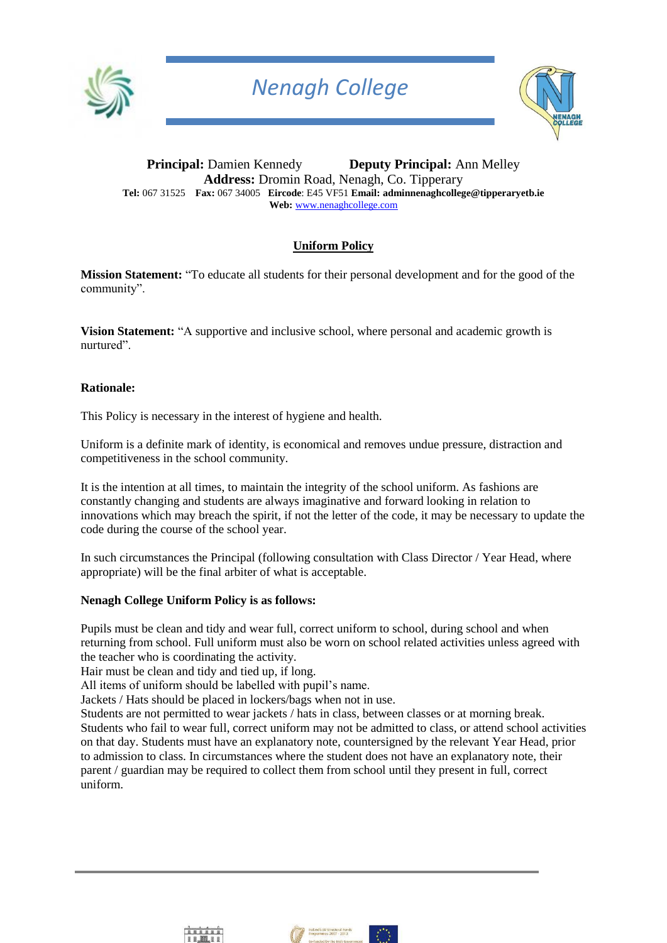

## *Nenagh College*



**Principal:** Damien Kennedy **Deputy Principal:** Ann Melley **Address:** Dromin Road, Nenagh, Co. Tipperary **Tel:** 067 31525 **Fax:** 067 34005 **Eircode**: E45 VF51 **Email: adminnenaghcollege@tipperaryetb.ie Web:** [www.nenaghcollege.com](http://www.nenaghcollege.com/)

## **Uniform Policy**

**Mission Statement:** "To educate all students for their personal development and for the good of the community".

**Vision Statement:** "A supportive and inclusive school, where personal and academic growth is nurtured".

#### **Rationale:**

This Policy is necessary in the interest of hygiene and health.

Uniform is a definite mark of identity, is economical and removes undue pressure, distraction and competitiveness in the school community.

It is the intention at all times, to maintain the integrity of the school uniform. As fashions are constantly changing and students are always imaginative and forward looking in relation to innovations which may breach the spirit, if not the letter of the code, it may be necessary to update the code during the course of the school year.

In such circumstances the Principal (following consultation with Class Director / Year Head, where appropriate) will be the final arbiter of what is acceptable.

#### **Nenagh College Uniform Policy is as follows:**

Pupils must be clean and tidy and wear full, correct uniform to school, during school and when returning from school. Full uniform must also be worn on school related activities unless agreed with the teacher who is coordinating the activity.

Hair must be clean and tidy and tied up, if long.

All items of uniform should be labelled with pupil's name.

Jackets / Hats should be placed in lockers/bags when not in use.

Students are not permitted to wear jackets / hats in class, between classes or at morning break. Students who fail to wear full, correct uniform may not be admitted to class, or attend school activities on that day. Students must have an explanatory note, countersigned by the relevant Year Head, prior to admission to class. In circumstances where the student does not have an explanatory note, their parent / guardian may be required to collect them from school until they present in full, correct uniform.



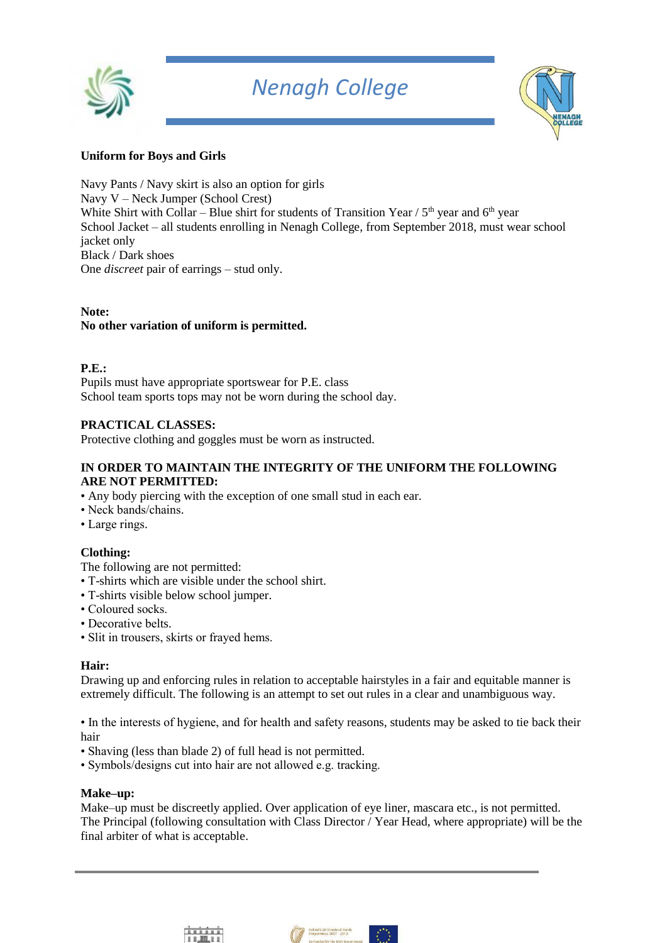

## *Nenagh College*



## **Uniform for Boys and Girls**

Navy Pants / Navy skirt is also an option for girls Navy V – Neck Jumper (School Crest) White Shirt with Collar – Blue shirt for students of Transition Year /  $5<sup>th</sup>$  year and  $6<sup>th</sup>$  year School Jacket – all students enrolling in Nenagh College, from September 2018, must wear school jacket only Black / Dark shoes One *discreet* pair of earrings – stud only.

## **Note: No other variation of uniform is permitted.**

#### **P.E.:**

Pupils must have appropriate sportswear for P.E. class School team sports tops may not be worn during the school day.

## **PRACTICAL CLASSES:**

Protective clothing and goggles must be worn as instructed.

#### **IN ORDER TO MAINTAIN THE INTEGRITY OF THE UNIFORM THE FOLLOWING ARE NOT PERMITTED:**

- Any body piercing with the exception of one small stud in each ear.
- Neck bands/chains.
- Large rings.

## **Clothing:**

- The following are not permitted:
- T-shirts which are visible under the school shirt.
- T-shirts visible below school jumper.
- Coloured socks.
- Decorative belts.
- Slit in trousers, skirts or frayed hems.

## **Hair:**

Drawing up and enforcing rules in relation to acceptable hairstyles in a fair and equitable manner is extremely difficult. The following is an attempt to set out rules in a clear and unambiguous way.

• In the interests of hygiene, and for health and safety reasons, students may be asked to tie back their hair

- Shaving (less than blade 2) of full head is not permitted.
- Symbols/designs cut into hair are not allowed e.g. tracking.

#### **Make–up:**

Make–up must be discreetly applied. Over application of eye liner, mascara etc., is not permitted. The Principal (following consultation with Class Director / Year Head, where appropriate) will be the final arbiter of what is acceptable.